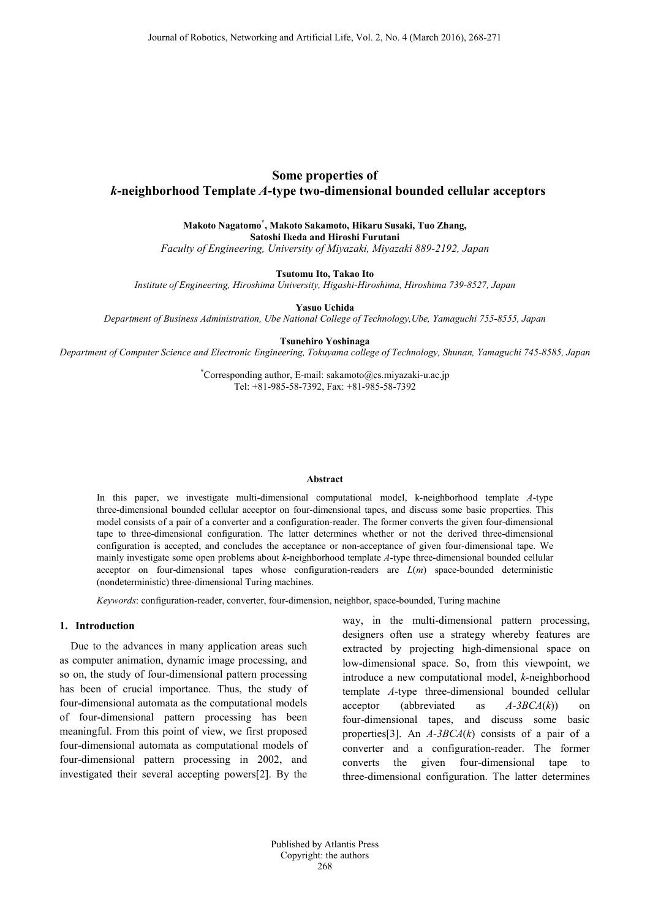# **Some properties of** *k***-neighborhood Template** *A***-type two-dimensional bounded cellular acceptors**

**Makoto Nagatomo\* , Makoto Sakamoto, Hikaru Susaki, Tuo Zhang, Satoshi Ikeda and Hiroshi Furutani** 

*Faculty of Engineering, University of Miyazaki, Miyazaki 889-2192, Japan*

**Tsutomu Ito, Takao Ito**

*Institute of Engineering, Hiroshima University, Higashi-Hiroshima, Hiroshima 739-8527, Japan*

**Yasuo Uchida**

*Department of Business Administration, Ube National College of Technology,Ube, Yamaguchi 755-8555, Japan*

**Tsunehiro Yoshinaga**

*Department of Computer Science and Electronic Engineering, Tokuyama college of Technology, Shunan, Yamaguchi 745-8585, Japan*

\* Corresponding author, E-mail: sakamoto@cs.miyazaki-u.ac.jp Tel: +81-985-58-7392, Fax: +81-985-58-7392

#### **Abstract**

In this paper, we investigate multi-dimensional computational model, k-neighborhood template *A*-type three-dimensional bounded cellular acceptor on four-dimensional tapes, and discuss some basic properties. This model consists of a pair of a converter and a configuration-reader. The former converts the given four-dimensional tape to three-dimensional configuration. The latter determines whether or not the derived three-dimensional configuration is accepted, and concludes the acceptance or non-acceptance of given four-dimensional tape. We mainly investigate some open problems about *k*-neighborhood template *A*-type three-dimensional bounded cellular acceptor on four-dimensional tapes whose configuration-readers are *L*(*m*) space-bounded deterministic (nondeterministic) three-dimensional Turing machines.

*Keywords*: configuration-reader, converter, four-dimension, neighbor, space-bounded, Turing machine

## **1. Introduction**

Due to the advances in many application areas such as computer animation, dynamic image processing, and so on, the study of four-dimensional pattern processing has been of crucial importance. Thus, the study of four-dimensional automata as the computational models of four-dimensional pattern processing has been meaningful. From this point of view, we first proposed four-dimensional automata as computational models of four-dimensional pattern processing in 2002, and investigated their several accepting powers[2]. By the

way, in the multi-dimensional pattern processing, designers often use a strategy whereby features are extracted by projecting high-dimensional space on low-dimensional space. So, from this viewpoint, we introduce a new computational model, *k*-neighborhood template *A*-type three-dimensional bounded cellular acceptor (abbreviated as *A-3BCA*(*k*)) on four-dimensional tapes, and discuss some basic properties[3]. An *A-3BCA*(*k*) consists of a pair of a converter and a configuration-reader. The former converts the given four-dimensional tape three-dimensional configuration. The latter determines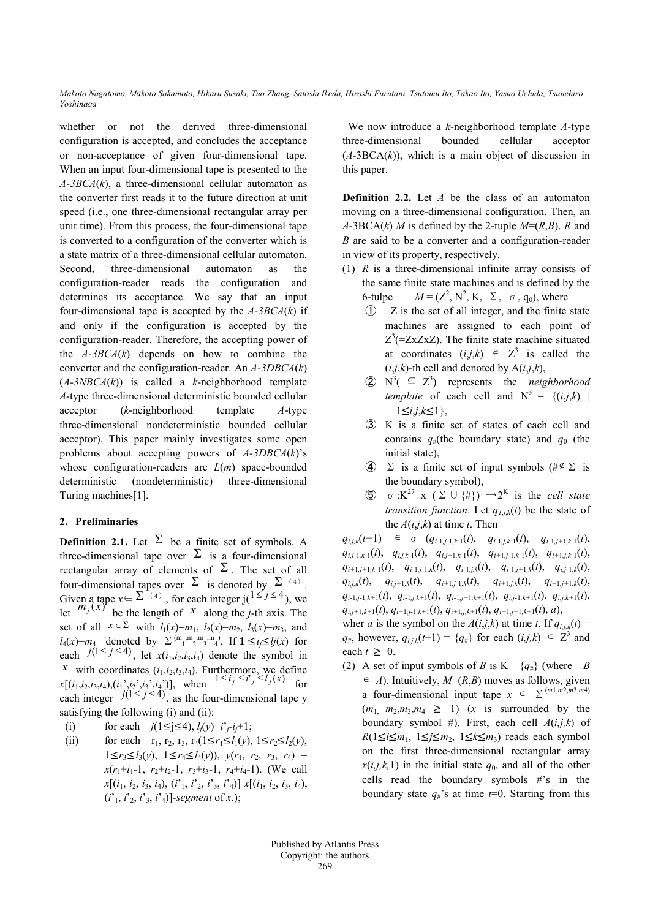*Makoto Nagatomo, Makoto Sakamoto, Hikaru Susaki, Tuo Zhang, Satoshi Ikeda, Hiroshi Furutani, Tsutomu Ito, Takao Ito, Yasuo Uchida, Tsunehiro Yoshinaga* 

whether or not the derived three-dimensional configuration is accepted, and concludes the acceptance or non-acceptance of given four-dimensional tape. When an input four-dimensional tape is presented to the *A-3BCA*(*k*), a three-dimensional cellular automaton as the converter first reads it to the future direction at unit speed (i.e., one three-dimensional rectangular array per unit time). From this process, the four-dimensional tape is converted to a configuration of the converter which is a state matrix of a three-dimensional cellular automaton. Second, three-dimensional automaton as the configuration-reader reads the configuration and determines its acceptance. We say that an input four-dimensional tape is accepted by the *A-3BCA*(*k*) if and only if the configuration is accepted by the configuration-reader. Therefore, the accepting power of the *A-3BCA*(*k*) depends on how to combine the converter and the configuration-reader. An *A-3DBCA*(*k*) (*A-3NBCA*(*k*)) is called a *k*-neighborhood template *A*-type three-dimensional deterministic bounded cellular acceptor (*k*-neighborhood template *A*-type three-dimensional nondeterministic bounded cellular acceptor). This paper mainly investigates some open problems about accepting powers of *A-3DBCA*(*k*)'s whose configuration-readers are *L*(*m*) space-bounded deterministic (nondeterministic) three-dimensional Turing machines[1].

# **2. Preliminaries**

**Definition 2.1.** Let  $\Sigma$  be a finite set of symbols. A three-dimensional tape over  $\Sigma$  is a four-dimensional rectangular array of elements of  $\Sigma$ . The set of all four-dimensional tapes over  $\Sigma$  is denoted by  $\Sigma^{(4)}$ . Given a tape  $x \in \sum_{i=1}^{n} (4)$ , for each integer  $j(1 \leq j \leq 4)$ , we let  $m_j(x)$  be the length of *x* along the *j*-th axis. The set of all  $x \in \Sigma$  with  $l_1(x)=m_1$ ,  $l_2(x)=m_2$ ,  $l_3(x)=m_3$ , and  $l_4(x) = m_4$  denoted by  $\sum_{1}^{(m_1, m_2, m_3, m_4)}$ . If  $1 \le i_j \le l_j(x)$  for each  $j(1 \le j \le 4)$ , let  $x(i_1, i_2, i_3, i_4)$  denote the symbol in *x* with coordinates  $(i_1, i_2, i_3, i_4)$ . Furthermore, we define  $x[(i_1, i_2, i_3, i_4), (i_1', i_2', i_3', i_4')]$ , when  $1 \le i_j \le i_j \le l_j(x)$  for each integer  $j(1 \le j \le 4)$ , as the four-dimensional tape y satisfying the following (i) and (ii):

- (i) for each  $j(1 \leq j \leq 4)$ ,  $l_i(y) = i^3 i^3 + 1$ ;
- (ii) for each  $r_1, r_2, r_3, r_4(1 \le r_1 \le l_1(v), 1 \le r_2 \le l_2(v),$ 1≤*r*<sub>3</sub>≤*l*<sub>3</sub>(*y*), 1≤*r*<sub>4</sub>≤*l*<sub>4</sub>(*y*)), *y*(*r*<sub>1</sub>, *r*<sub>2</sub>, *r*<sub>3</sub>, *r*<sub>4</sub>) =  $x(r_1+i_1-1, r_2+i_2-1, r_3+i_3-1, r_4+i_4-1)$ . (We call  $x[(i_1, i_2, i_3, i_4), (i'_1, i'_2, i'_3, i'_4)]$   $x[(i_1, i_2, i_3, i_4),$  $(i<sup>1</sup>$ ,  $i<sup>2</sup>$ ,  $i<sup>3</sup>$ ,  $i<sup>2</sup>$ ),  $(i<sup>2</sup>$ ),  $i<sup>3</sup>$ ),  $(i<sup>2</sup>$ ),  $(i<sup>3</sup>$ ),  $(i<sup>2</sup>$ ),  $(i<sup>3</sup>$ ),  $(i<sup>2</sup>$ ),  $(i<sup>3</sup>$ ),  $(i<sup>2</sup>$ ),  $(i<sup>3</sup>$ ),  $(i<sup>2</sup>$ ),  $(i<sup>3</sup>$ ),  $(i<sup>3</sup>$ ),  $(i<$

We now introduce a *k*-neighborhood template *A*-type three-dimensional bounded cellular acceptor  $(A-3BCA(k))$ , which is a main object of discussion in this paper.

**Definition 2.2.** Let *A* be the class of an automaton moving on a three-dimensional configuration. Then, an  $A$ -3BCA(*k*) *M* is defined by the 2-tuple  $M=(R,B)$ . *R* and *B* are said to be a converter and a configuration-reader in view of its property, respectively.

- (1) *R* is a three-dimensional infinite array consists of the same finite state machines and is defined by the 6-tulpe  $M = (\mathbb{Z}^2, \mathbb{N}^2, \mathbb{K}, \Sigma, \sigma, q_0)$ , where
	- ① Z is the set of all integer, and the finite state machines are assigned to each point of  $Z^3$ (=ZxZxZ). The finite state machine situated at coordinates  $(i,j,k) \in \mathbb{Z}^3$  is called the  $(i,j,k)$ -th cell and denoted by  $A(i,j,k)$ ,
	- $(2)$   $N^3$ ( $\subseteq$   $Z^3$ ) represents the *neighborhood template* of each cell and  $N^3 = \{(i,j,k)$ -1≤*i*,*j*,*k*≤1},
	- ③ K is a finite set of states of each cell and contains  $q_{\#}$ (the boundary state) and  $q_0$  (the initial state),
	- **4**  $\Sigma$  is a finite set of input symbols (# $\notin \Sigma$  is the boundary symbol),
	- ⑤ σ:K<sup>27</sup> x (Σ∪{#}) →2<sup>K</sup> is the *cell state transition function*. Let  $q_{1,i,k}(t)$  be the state of the  $A(i,j,k)$  at time *t*. Then

 $q_{i,k}(t+1) \in \sigma \quad (q_{i-1,i-1,k-1}(t), \quad q_{i-1,i,k-1}(t), \quad q_{i-1,i+1,k-1}(t),$ *qi,j-*1*,k-*1(*t*), *qi,j,k-*1(*t*), *qi,j+*1*,k-*1(*t*), *qi+*1*,j-*1*,k-*1(*t*), *qi+*1*,j,k-*1(*t*),  $q_{i+1,j+1,k-1}(t)$ ,  $q_{i-1,j-1,k}(t)$ ,  $q_{i-1,j,k}(t)$ ,  $q_{i-1,j+1,k}(t)$ ,  $q_{i,j-1,k}(t)$ ,  $q_{i,j,k}(t)$ ,  $q_{i,j+1,k}(t)$ ,  $q_{i+1,j+1,k}(t)$ ,  $q_{i+1,j,k}(t)$ ,  $q_{i+1,j+1,k}(t)$ ,  $q_{i-1,j-1,k+1}(t)$ ,  $q_{i-1,j,k+1}(t)$ ,  $q_{i-1,j+1,k+1}(t)$ ,  $q_{i,j-1,k+1}(t)$ ,  $q_{i,j,k+1}(t)$ ,  $q_{i,i+1,k+1}(t), q_{i+1,i-1,k+1}(t), q_{i+1,i,k+1}(t), q_{i+1,i+1,k+1}(t), a),$ 

wher *a* is the symbol on the  $A(i,j,k)$  at time *t*. If  $q_{i,j,k}(t)$  =  $q_{\#}$ , however,  $q_{i,j,k}(t+1) = \{q_{\#}\}\$ for each  $(i,j,k) \in \mathbb{Z}^3$  and each  $t \geq 0$ .

(2) A set of input symbols of *B* is  $K - {q<sub>#</sub>}$  (where *B*  $\in$  *A*). Intuitively, *M*=(*R*,*B*) moves as follows, given a four-dimensional input tape  $x \in \sum^{(m1,m2,m3,m4)}$  $(m_1, m_2, m_3, m_4 \ge 1)$  (*x* is surrounded by the boundary symbol #). First, each cell  $A(i,j,k)$  of *R*(1≤*i*≤*m*<sub>1</sub>, 1≤*j*≤*m*<sub>2</sub>, 1≤*k*≤*m*<sub>3</sub>) reads each symbol on the first three-dimensional rectangular array  $x(i,j,k,1)$  in the initial state  $q_0$ , and all of the other cells read the boundary symbols #'s in the boundary state  $q_{\#}$ 's at time  $t=0$ . Starting from this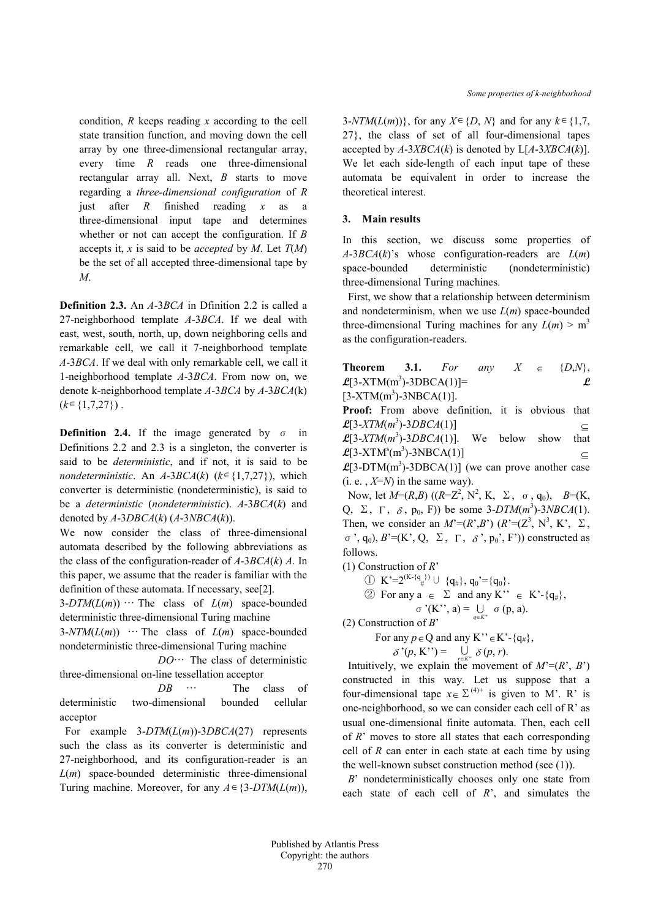condition, *R* keeps reading *x* according to the cell state transition function, and moving down the cell array by one three-dimensional rectangular array, every time *R* reads one three-dimensional rectangular array all. Next, *B* starts to move regarding a *three-dimensional configuration* of *R*  just after *R* finished reading *x* as a three-dimensional input tape and determines whether or not can accept the configuration. If *B* accepts it, *x* is said to be *accepted* by *M*. Let *T*(*M*) be the set of all accepted three-dimensional tape by *M*.

**Definition 2.3.** An *A*-3*BCA* in Dfinition 2.2 is called a 27-neighborhood template *A*-3*BCA*. If we deal with east, west, south, north, up, down neighboring cells and remarkable cell, we call it 7-neighborhood template *A*-3*BCA*. If we deal with only remarkable cell, we call it 1-neighborhood template *A*-3*BCA*. From now on, we denote k-neighborhood template *A*-3*BCA* by *A*-3*BCA*(k)  $(k \in \{1, 7, 27\})$ .

**Definition 2.4.** If the image generated by σ in Definitions 2.2 and 2.3 is a singleton, the converter is said to be *deterministic*, and if not, it is said to be *nondeterministic*. An  $A-3BCA(k)$  ( $k \in \{1,7,27\}$ ), which converter is deterministic (nondeterministic), is said to be a *deterministic* (*nondeterministic*). *A*-3*BCA*(*k*) and denoted by *A*-3*DBCA*(*k*) (*A*-3*NBCA*(*k*)).

We now consider the class of three-dimensional automata described by the following abbreviations as the class of the configuration-reader of *A*-3*BCA*(*k*) *A*. In this paper, we assume that the reader is familiar with the definition of these automata. If necessary, see[2].

 $3-DTM(L(m))$  … The class of  $L(m)$  space-bounded deterministic three-dimensional Turing machine

 $3-NTM(L(m))$  … The class of  $L(m)$  space-bounded nondeterministic three-dimensional Turing machine

 *DO*… The class of deterministic three-dimensional on-line tessellation acceptor

 *DB* … The class of deterministic two-dimensional bounded cellular acceptor

For example 3-*DTM*(*L*(*m*))-3*DBCA*(27) represents such the class as its converter is deterministic and 27-neighborhood, and its configuration-reader is an *L*(*m*) space-bounded deterministic three-dimensional Turing machine. Moreover, for any  $A \in \{3-DTM(L(m))\}$ ,  $3-NTM(L(m))$ , for any  $X \in \{D, N\}$  and for any  $k \in \{1,7, \ldots\}$ 27}, the class of set of all four-dimensional tapes accepted by  $A$ -3*XBCA*(*k*) is denoted by  $L[A$ -3*XBCA*(*k*)]. We let each side-length of each input tape of these automata be equivalent in order to increase the theoretical interest.

#### **3. Main results**

In this section, we discuss some properties of *A*-3*BCA*(*k*)'s whose configuration-readers are *L*(*m*) space-bounded deterministic (nondeterministic) three-dimensional Turing machines.

First, we show that a relationship between determinism and nondeterminism, when we use  $L(m)$  space-bounded three-dimensional Turing machines for any  $L(m) > m<sup>3</sup>$ as the configuration-readers.

**Theorem 3.1.** *For any*  $X \in \{D,N\}$ ,  $\mathcal{L}[3\text{-}X \text{T} \text{M}(\text{m}^3) \text{-}3\text{DBCA}(1)]$ =  $[3-XTM(m<sup>3</sup>)-3NBCA(1)].$ 

**Proof:** From above definition, it is obvious that  $\mathcal{L}[3\text{-}XTM(m^3)\text{-}3DBCA(1)]$   $\subseteq$  $\mathcal{L}[3\text{-}XTM(m^3)\text{-}3DBCA(1)]$ . We below show that  $\mathcal{L}[3\text{-}XTM^s(m^3)\text{-}3NBCA(1)]$   $\subseteq$ 

 $\mathcal{L}[3-DTM(m^3)-3DBCA(1)]$  (we can prove another case (i. e.,  $X=N$ ) in the same way).

Now, let  $M=(R,B)$   $((R=Z^2, N^2, K, \Sigma, \sigma, q_0), B=(K,$ Q,  $\Sigma$ ,  $\Gamma$ ,  $\delta$ ,  $p_0$ , F)) be some 3-DTM( $m^3$ )-3*NBCA*(1). Then, we consider an  $M^=(R^*,B^*)$  ( $R^*=({\mathbb Z}^3, {\mathbb N}^3, {\mathbb K}^*, \Sigma$ ,  $σ$ , q<sub>0</sub>),  $B'=(K', Q, \Sigma, Γ, δ', p<sub>0</sub>, F'))$  constructed as follows.

(1) Construction of *R*'

$$
\textcircled{1} \ \ K^{\cdot} = 2^{(K - \{q_{\#}\})} \cup \{q_{\#}\}, q_0^{\cdot} = \{q_0\}.
$$

2 For any 
$$
a \in \Sigma
$$
 and any K''  $\in K'$ -{ $q_{\#}$ },  
\n $\sigma'(K''; a) = \bigcup_{q \in K''} \sigma(p, a).$ 

(2) Construction of *B*'

For any  $p \in Q$  and any K<sup>\*\*</sup> $\in$ K<sup>\*</sup>-{q<sub>#</sub>},

$$
\delta^{\prime}(p, \mathrm{K}^{\prime\prime}) = \bigcup_{r \in K^{\prime\prime}} \delta(p, r).
$$

Intuitively, we explain the movement of  $M^=(R^r, B^r)$ constructed in this way. Let us suppose that a four-dimensional tape  $x \in \Sigma^{(4)+}$  is given to M'. R' is one-neighborhood, so we can consider each cell of R' as usual one-dimensional finite automata. Then, each cell of *R*' moves to store all states that each corresponding cell of *R* can enter in each state at each time by using the well-known subset construction method (see (1)).

*B*' nondeterministically chooses only one state from each state of each cell of *R*', and simulates the